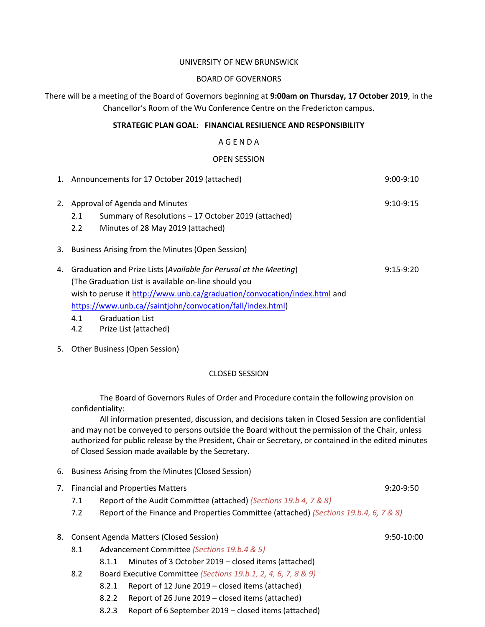#### UNIVERSITY OF NEW BRUNSWICK

#### BOARD OF GOVERNORS

There will be a meeting of the Board of Governors beginning at **9:00am on Thursday, 17 October 2019**, in the Chancellor's Room of the Wu Conference Centre on the Fredericton campus.

## **STRATEGIC PLAN GOAL: FINANCIAL RESILIENCE AND RESPONSIBILITY**

# A G E N D A

## OPEN SESSION

|    | 1. Announcements for 17 October 2019 (attached)                                                                                                                                                                                                                                           | $9:00-9:10$ |  |
|----|-------------------------------------------------------------------------------------------------------------------------------------------------------------------------------------------------------------------------------------------------------------------------------------------|-------------|--|
| 2. | Approval of Agenda and Minutes<br>Summary of Resolutions - 17 October 2019 (attached)<br>2.1<br>Minutes of 28 May 2019 (attached)<br>$2.2^{\circ}$                                                                                                                                        | $9:10-9:15$ |  |
|    | 3. Business Arising from the Minutes (Open Session)                                                                                                                                                                                                                                       |             |  |
|    | Graduation and Prize Lists (Available for Perusal at the Meeting)<br>$9:15-9:20$<br>4.<br>(The Graduation List is available on-line should you<br>wish to peruse it http://www.unb.ca/graduation/convocation/index.html and<br>https://www.unb.ca//saintjohn/convocation/fall/index.html) |             |  |

- 4.1 Graduation List
- 4.2 Prize List (attached)
- 5. Other Business (Open Session)

### CLOSED SESSION

The Board of Governors Rules of Order and Procedure contain the following provision on confidentiality:

All information presented, discussion, and decisions taken in Closed Session are confidential and may not be conveyed to persons outside the Board without the permission of the Chair, unless authorized for public release by the President, Chair or Secretary, or contained in the edited minutes of Closed Session made available by the Secretary.

- 6. Business Arising from the Minutes (Closed Session)
- 7. Financial and Properties Matters 6. The Contract of Contract 1. The State of Contract 1. The 9:20-9:50
	- 7.1 Report of the Audit Committee (attached) *(Sections 19.b 4, 7 & 8)*
	- 7.2 Report of the Finance and Properties Committee (attached) *(Sections 19.b.4, 6, 7 & 8)*

### 8. Consent Agenda Matters (Closed Session) 9:50-10:00

- 8.1 Advancement Committee *(Sections 19.b.4 & 5)*
	- 8.1.1 Minutes of 3 October 2019 closed items (attached)
- 8.2 Board Executive Committee *(Sections 19.b.1, 2, 4, 6, 7, 8 & 9)*
	- 8.2.1 Report of 12 June 2019 closed items (attached)
	- 8.2.2 Report of 26 June 2019 closed items (attached)
	- 8.2.3 Report of 6 September 2019 closed items (attached)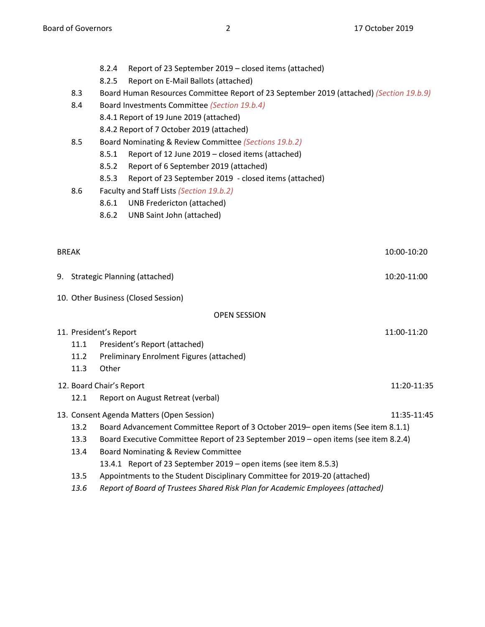- 8.2.4 Report of 23 September 2019 closed items (attached)
- 8.2.5 Report on E-Mail Ballots (attached)
- 8.3 Board Human Resources Committee Report of 23 September 2019 (attached) *(Section 19.b.9)*
- 8.4 Board Investments Committee *(Section 19.b.4)*
	- 8.4.1 Report of 19 June 2019 (attached)
	- 8.4.2 Report of 7 October 2019 (attached)
- 8.5 Board Nominating & Review Committee *(Sections 19.b.2)*
	- 8.5.1 Report of 12 June 2019 closed items (attached)
	- 8.5.2 Report of 6 September 2019 (attached)
	- 8.5.3 Report of 23 September 2019 closed items (attached)
- 8.6 Faculty and Staff Lists *(Section 19.b.2)*
	- 8.6.1 UNB Fredericton (attached)
	- 8.6.2 UNB Saint John (attached)

BREAK 10:00-10:20

- 9. Strategic Planning (attached) 10:20-11:00
- 10. Other Business (Closed Session)

# OPEN SESSION

| 11. President's Report |                                           |             |
|------------------------|-------------------------------------------|-------------|
| 11.1                   | President's Report (attached)             |             |
| 11.2                   | Preliminary Enrolment Figures (attached)  |             |
| 11.3                   | Other                                     |             |
|                        | 12. Board Chair's Report                  | 11:20-11:35 |
| 12.1                   | Report on August Retreat (verbal)         |             |
|                        | 13. Consent Agenda Matters (Open Session) | 11:35-11:45 |

- 13.2 Board Advancement Committee Report of 3 October 2019– open items (See item 8.1.1)
- 13.3 Board Executive Committee Report of 23 September 2019 open items (see item 8.2.4)
- 13.4 Board Nominating & Review Committee

13.4.1 Report of 23 September 2019 – open items (see item 8.5.3)

- 13.5 Appointments to the Student Disciplinary Committee for 2019-20 (attached)
- *13.6 Report of Board of Trustees Shared Risk Plan for Academic Employees (attached)*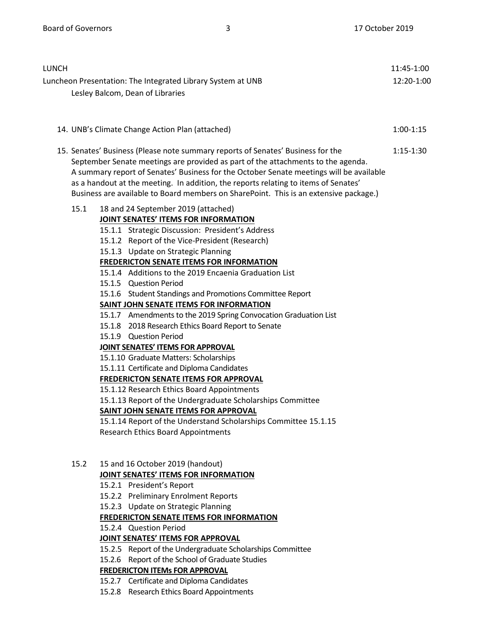| LUNCH |                                                                                                                                                                                                                                                                                                                                                                                                                                                                                                                                                                                                                                                                                                                                                                                                                                                                                                                                                                                                                                                                                   |             |  |  |
|-------|-----------------------------------------------------------------------------------------------------------------------------------------------------------------------------------------------------------------------------------------------------------------------------------------------------------------------------------------------------------------------------------------------------------------------------------------------------------------------------------------------------------------------------------------------------------------------------------------------------------------------------------------------------------------------------------------------------------------------------------------------------------------------------------------------------------------------------------------------------------------------------------------------------------------------------------------------------------------------------------------------------------------------------------------------------------------------------------|-------------|--|--|
|       | Luncheon Presentation: The Integrated Library System at UNB<br>Lesley Balcom, Dean of Libraries<br>14. UNB's Climate Change Action Plan (attached)                                                                                                                                                                                                                                                                                                                                                                                                                                                                                                                                                                                                                                                                                                                                                                                                                                                                                                                                |             |  |  |
|       |                                                                                                                                                                                                                                                                                                                                                                                                                                                                                                                                                                                                                                                                                                                                                                                                                                                                                                                                                                                                                                                                                   |             |  |  |
|       | 15. Senates' Business (Please note summary reports of Senates' Business for the<br>September Senate meetings are provided as part of the attachments to the agenda.<br>A summary report of Senates' Business for the October Senate meetings will be available<br>as a handout at the meeting. In addition, the reports relating to items of Senates'<br>Business are available to Board members on SharePoint. This is an extensive package.)                                                                                                                                                                                                                                                                                                                                                                                                                                                                                                                                                                                                                                    | $1:15-1:30$ |  |  |
| 15.1  | 18 and 24 September 2019 (attached)<br><b>JOINT SENATES' ITEMS FOR INFORMATION</b><br>15.1.1 Strategic Discussion: President's Address<br>15.1.2 Report of the Vice-President (Research)<br>15.1.3 Update on Strategic Planning<br><b>FREDERICTON SENATE ITEMS FOR INFORMATION</b><br>15.1.4 Additions to the 2019 Encaenia Graduation List<br>15.1.5 Question Period<br>15.1.6 Student Standings and Promotions Committee Report<br>SAINT JOHN SENATE ITEMS FOR INFORMATION<br>15.1.7 Amendments to the 2019 Spring Convocation Graduation List<br>15.1.8 2018 Research Ethics Board Report to Senate<br>15.1.9 Question Period<br>JOINT SENATES' ITEMS FOR APPROVAL<br>15.1.10 Graduate Matters: Scholarships<br>15.1.11 Certificate and Diploma Candidates<br><b>FREDERICTON SENATE ITEMS FOR APPROVAL</b><br>15.1.12 Research Ethics Board Appointments<br>15.1.13 Report of the Undergraduate Scholarships Committee<br>SAINT JOHN SENATE ITEMS FOR APPROVAL<br>15.1.14 Report of the Understand Scholarships Committee 15.1.15<br><b>Research Ethics Board Appointments</b> |             |  |  |
| 15.2  | 15 and 16 October 2019 (handout)<br>JOINT SENATES' ITEMS FOR INFORMATION<br>15.2.1 President's Report<br>15.2.2 Preliminary Enrolment Reports<br>15.2.3 Update on Strategic Planning<br><b>FREDERICTON SENATE ITEMS FOR INFORMATION</b><br>15.2.4 Question Period<br>JOINT SENATES' ITEMS FOR APPROVAL                                                                                                                                                                                                                                                                                                                                                                                                                                                                                                                                                                                                                                                                                                                                                                            |             |  |  |

- 15.2.5 Report of the Undergraduate Scholarships Committee
- 15.2.6 Report of the School of Graduate Studies

# **FREDERICTON ITEMs FOR APPROVAL**

- 15.2.7 Certificate and Diploma Candidates
- 15.2.8 Research Ethics Board Appointments